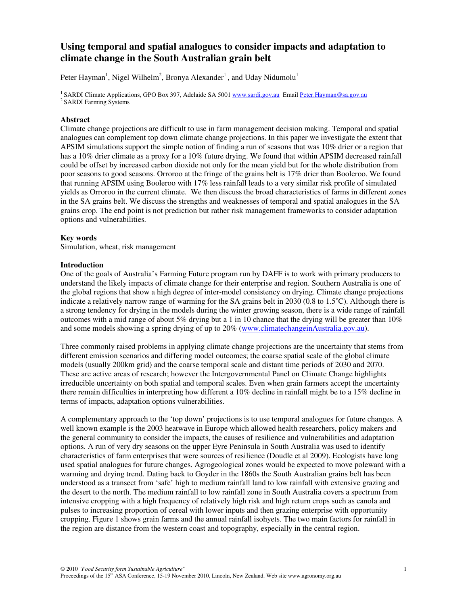# **Using temporal and spatial analogues to consider impacts and adaptation to climate change in the South Australian grain belt**

Peter Hayman<sup>1</sup>, Nigel Wilhelm<sup>2</sup>, Bronya Alexander<sup>1</sup>, and Uday Nidumolu<sup>1</sup>

<sup>1</sup> SARDI Climate Applications, GPO Box 397, Adelaide SA 5001 www.sardi.gov.au Email Peter.Hayman@sa.gov.au <sup>2</sup> SARDI Farming Systems

# **Abstract**

Climate change projections are difficult to use in farm management decision making. Temporal and spatial analogues can complement top down climate change projections. In this paper we investigate the extent that APSIM simulations support the simple notion of finding a run of seasons that was 10% drier or a region that has a 10% drier climate as a proxy for a 10% future drying. We found that within APSIM decreased rainfall could be offset by increased carbon dioxide not only for the mean yield but for the whole distribution from poor seasons to good seasons. Orroroo at the fringe of the grains belt is 17% drier than Booleroo. We found that running APSIM using Booleroo with 17% less rainfall leads to a very similar risk profile of simulated yields as Orroroo in the current climate. We then discuss the broad characteristics of farms in different zones in the SA grains belt. We discuss the strengths and weaknesses of temporal and spatial analogues in the SA grains crop. The end point is not prediction but rather risk management frameworks to consider adaptation options and vulnerabilities.

# **Key words**

Simulation, wheat, risk management

# **Introduction**

One of the goals of Australia's Farming Future program run by DAFF is to work with primary producers to understand the likely impacts of climate change for their enterprise and region. Southern Australia is one of the global regions that show a high degree of inter-model consistency on drying. Climate change projections indicate a relatively narrow range of warming for the SA grains belt in 2030 (0.8 to 1.5˚C). Although there is a strong tendency for drying in the models during the winter growing season, there is a wide range of rainfall outcomes with a mid range of about 5% drying but a 1 in 10 chance that the drying will be greater than 10% and some models showing a spring drying of up to 20% (www.climatechangeinAustralia.gov.au).

Three commonly raised problems in applying climate change projections are the uncertainty that stems from different emission scenarios and differing model outcomes; the coarse spatial scale of the global climate models (usually 200km grid) and the coarse temporal scale and distant time periods of 2030 and 2070. These are active areas of research; however the Intergovernmental Panel on Climate Change highlights irreducible uncertainty on both spatial and temporal scales. Even when grain farmers accept the uncertainty there remain difficulties in interpreting how different a 10% decline in rainfall might be to a 15% decline in terms of impacts, adaptation options vulnerabilities.

A complementary approach to the 'top down' projections is to use temporal analogues for future changes. A well known example is the 2003 heatwave in Europe which allowed health researchers, policy makers and the general community to consider the impacts, the causes of resilience and vulnerabilities and adaptation options. A run of very dry seasons on the upper Eyre Peninsula in South Australia was used to identify characteristics of farm enterprises that were sources of resilience (Doudle et al 2009). Ecologists have long used spatial analogues for future changes. Agrogeological zones would be expected to move poleward with a warming and drying trend. Dating back to Goyder in the 1860s the South Australian grains belt has been understood as a transect from 'safe' high to medium rainfall land to low rainfall with extensive grazing and the desert to the north. The medium rainfall to low rainfall zone in South Australia covers a spectrum from intensive cropping with a high frequency of relatively high risk and high return crops such as canola and pulses to increasing proportion of cereal with lower inputs and then grazing enterprise with opportunity cropping. Figure 1 shows grain farms and the annual rainfall isohyets. The two main factors for rainfall in the region are distance from the western coast and topography, especially in the central region.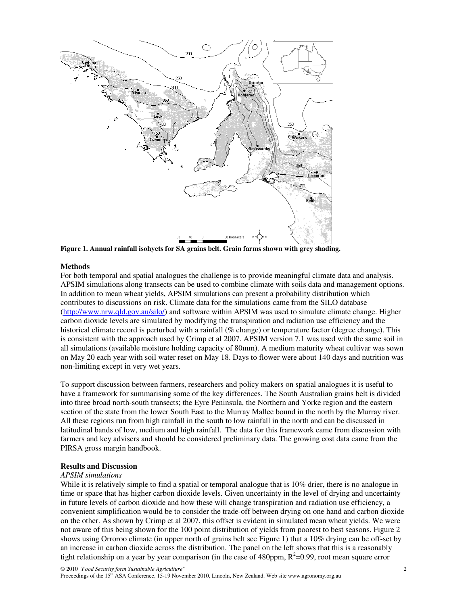

**Figure 1. Annual rainfall isohyets for SA grains belt. Grain farms shown with grey shading.** 

## **Methods**

For both temporal and spatial analogues the challenge is to provide meaningful climate data and analysis. APSIM simulations along transects can be used to combine climate with soils data and management options. In addition to mean wheat yields, APSIM simulations can present a probability distribution which contributes to discussions on risk. Climate data for the simulations came from the SILO database (http://www.nrw.qld.gov.au/silo/) and software within APSIM was used to simulate climate change. Higher carbon dioxide levels are simulated by modifying the transpiration and radiation use efficiency and the historical climate record is perturbed with a rainfall (% change) or temperature factor (degree change). This is consistent with the approach used by Crimp et al 2007. APSIM version 7.1 was used with the same soil in all simulations (available moisture holding capacity of 80mm). A medium maturity wheat cultivar was sown on May 20 each year with soil water reset on May 18. Days to flower were about 140 days and nutrition was non-limiting except in very wet years.

To support discussion between farmers, researchers and policy makers on spatial analogues it is useful to have a framework for summarising some of the key differences. The South Australian grains belt is divided into three broad north-south transects; the Eyre Peninsula, the Northern and Yorke region and the eastern section of the state from the lower South East to the Murray Mallee bound in the north by the Murray river. All these regions run from high rainfall in the south to low rainfall in the north and can be discussed in latitudinal bands of low, medium and high rainfall. The data for this framework came from discussion with farmers and key advisers and should be considered preliminary data. The growing cost data came from the PIRSA gross margin handbook.

## **Results and Discussion**

## *APSIM simulations*

While it is relatively simple to find a spatial or temporal analogue that is 10% drier, there is no analogue in time or space that has higher carbon dioxide levels. Given uncertainty in the level of drying and uncertainty in future levels of carbon dioxide and how these will change transpiration and radiation use efficiency, a convenient simplification would be to consider the trade-off between drying on one hand and carbon dioxide on the other. As shown by Crimp et al 2007, this offset is evident in simulated mean wheat yields. We were not aware of this being shown for the 100 point distribution of yields from poorest to best seasons. Figure 2 shows using Orroroo climate (in upper north of grains belt see Figure 1) that a 10% drying can be off-set by an increase in carbon dioxide across the distribution. The panel on the left shows that this is a reasonably tight relationship on a year by year comparison (in the case of 480ppm,  $R^2$ =0.99, root mean square error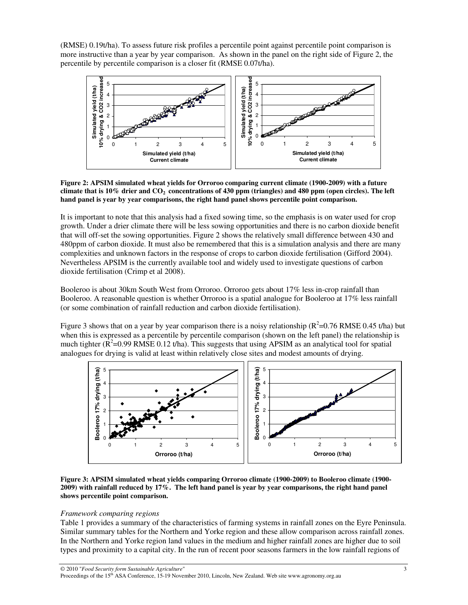(RMSE) 0.19t/ha). To assess future risk profiles a percentile point against percentile point comparison is more instructive than a year by year comparison. As shown in the panel on the right side of Figure 2, the percentile by percentile comparison is a closer fit (RMSE 0.07t/ha).



**Figure 2: APSIM simulated wheat yields for Orroroo comparing current climate (1900-2009) with a future climate that is 10% drier and CO2 concentrations of 430 ppm (triangles) and 480 ppm (open circles). The left hand panel is year by year comparisons, the right hand panel shows percentile point comparison.** 

It is important to note that this analysis had a fixed sowing time, so the emphasis is on water used for crop growth. Under a drier climate there will be less sowing opportunities and there is no carbon dioxide benefit that will off-set the sowing opportunities. Figure 2 shows the relatively small difference between 430 and 480ppm of carbon dioxide. It must also be remembered that this is a simulation analysis and there are many complexities and unknown factors in the response of crops to carbon dioxide fertilisation (Gifford 2004). Nevertheless APSIM is the currently available tool and widely used to investigate questions of carbon dioxide fertilisation (Crimp et al 2008).

Booleroo is about 30km South West from Orroroo. Orroroo gets about 17% less in-crop rainfall than Booleroo. A reasonable question is whether Orroroo is a spatial analogue for Booleroo at 17% less rainfall (or some combination of rainfall reduction and carbon dioxide fertilisation).

Figure 3 shows that on a year by year comparison there is a noisy relationship ( $R^2$ =0.76 RMSE 0.45 t/ha) but when this is expressed as a percentile by percentile comparison (shown on the left panel) the relationship is much tighter ( $\overline{R}^2$ =0.99 RMSE 0.12 t/ha). This suggests that using APSIM as an analytical tool for spatial analogues for drying is valid at least within relatively close sites and modest amounts of drying.



**Figure 3: APSIM simulated wheat yields comparing Orroroo climate (1900-2009) to Booleroo climate (1900- 2009) with rainfall reduced by 17%. The left hand panel is year by year comparisons, the right hand panel shows percentile point comparison.** 

## *Framework comparing regions*

Table 1 provides a summary of the characteristics of farming systems in rainfall zones on the Eyre Peninsula. Similar summary tables for the Northern and Yorke region and these allow comparison across rainfall zones. In the Northern and Yorke region land values in the medium and higher rainfall zones are higher due to soil types and proximity to a capital city. In the run of recent poor seasons farmers in the low rainfall regions of